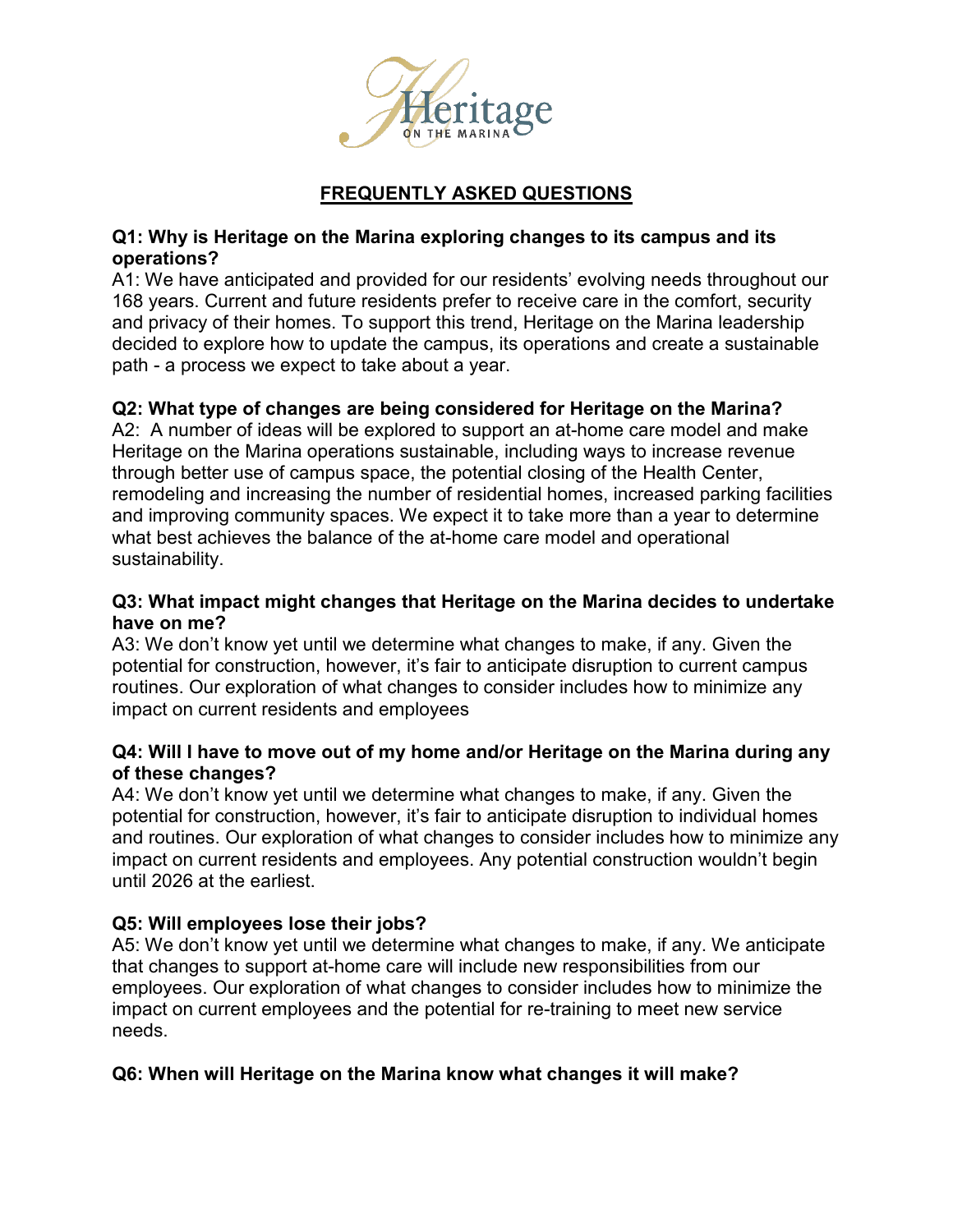

# **FREQUENTLY ASKED QUESTIONS**

### **Q1: Why is Heritage on the Marina exploring changes to its campus and its operations?**

A1: We have anticipated and provided for our residents' evolving needs throughout our 168 years. Current and future residents prefer to receive care in the comfort, security and privacy of their homes. To support this trend, Heritage on the Marina leadership decided to explore how to update the campus, its operations and create a sustainable path - a process we expect to take about a year.

## **Q2: What type of changes are being considered for Heritage on the Marina?**

A2: A number of ideas will be explored to support an at-home care model and make Heritage on the Marina operations sustainable, including ways to increase revenue through better use of campus space, the potential closing of the Health Center, remodeling and increasing the number of residential homes, increased parking facilities and improving community spaces. We expect it to take more than a year to determine what best achieves the balance of the at-home care model and operational sustainability.

### **Q3: What impact might changes that Heritage on the Marina decides to undertake have on me?**

A3: We don't know yet until we determine what changes to make, if any. Given the potential for construction, however, it's fair to anticipate disruption to current campus routines. Our exploration of what changes to consider includes how to minimize any impact on current residents and employees

### **Q4: Will I have to move out of my home and/or Heritage on the Marina during any of these changes?**

A4: We don't know yet until we determine what changes to make, if any. Given the potential for construction, however, it's fair to anticipate disruption to individual homes and routines. Our exploration of what changes to consider includes how to minimize any impact on current residents and employees. Any potential construction wouldn't begin until 2026 at the earliest.

## **Q5: Will employees lose their jobs?**

A5: We don't know yet until we determine what changes to make, if any. We anticipate that changes to support at-home care will include new responsibilities from our employees. Our exploration of what changes to consider includes how to minimize the impact on current employees and the potential for re-training to meet new service needs.

## **Q6: When will Heritage on the Marina know what changes it will make?**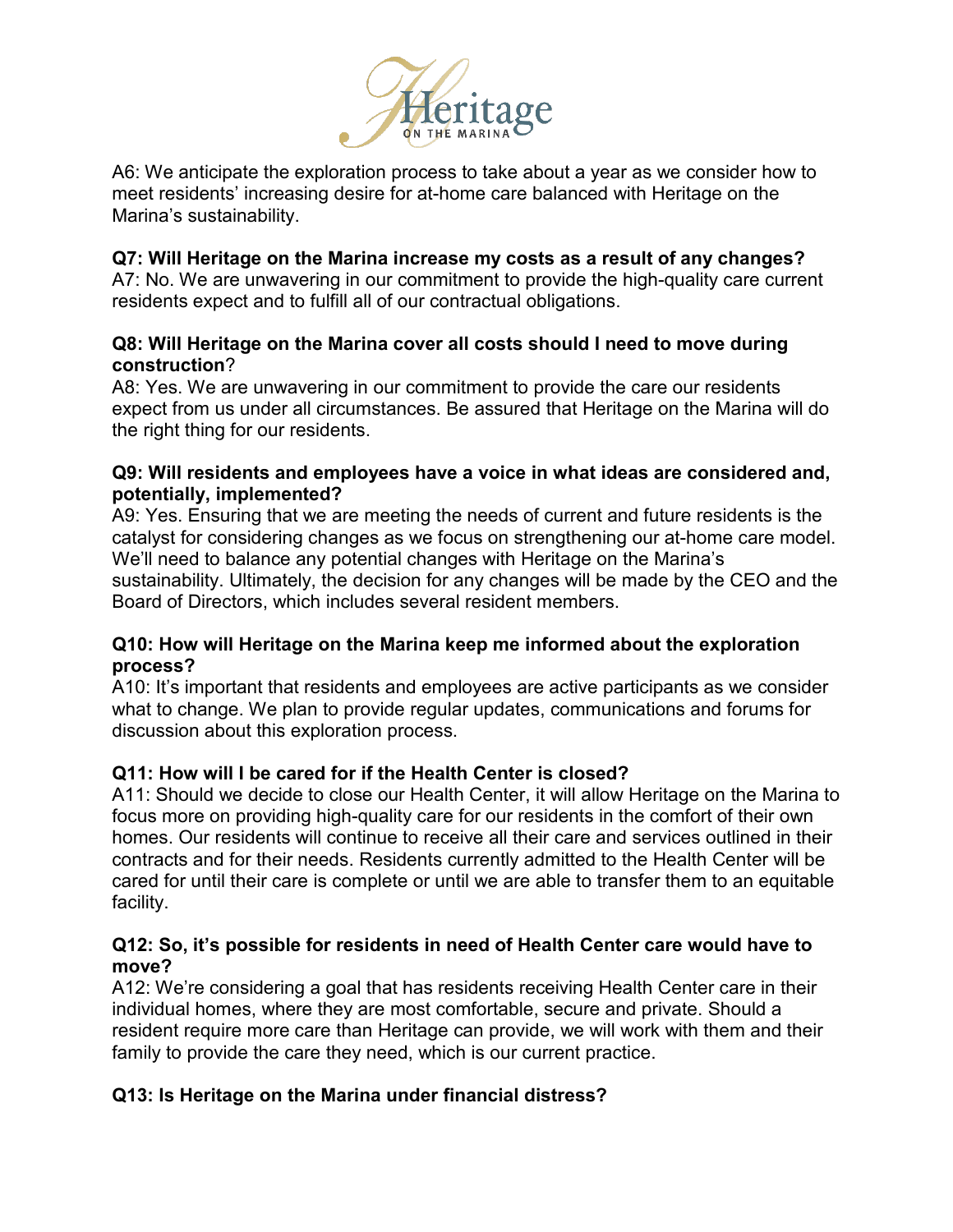

A6: We anticipate the exploration process to take about a year as we consider how to meet residents' increasing desire for at-home care balanced with Heritage on the Marina's sustainability.

### **Q7: Will Heritage on the Marina increase my costs as a result of any changes?**

A7: No. We are unwavering in our commitment to provide the high-quality care current residents expect and to fulfill all of our contractual obligations.

#### **Q8: Will Heritage on the Marina cover all costs should I need to move during construction**?

A8: Yes. We are unwavering in our commitment to provide the care our residents expect from us under all circumstances. Be assured that Heritage on the Marina will do the right thing for our residents.

#### **Q9: Will residents and employees have a voice in what ideas are considered and, potentially, implemented?**

A9: Yes. Ensuring that we are meeting the needs of current and future residents is the catalyst for considering changes as we focus on strengthening our at-home care model. We'll need to balance any potential changes with Heritage on the Marina's sustainability. Ultimately, the decision for any changes will be made by the CEO and the Board of Directors, which includes several resident members.

### **Q10: How will Heritage on the Marina keep me informed about the exploration process?**

A10: It's important that residents and employees are active participants as we consider what to change. We plan to provide regular updates, communications and forums for discussion about this exploration process.

## **Q11: How will I be cared for if the Health Center is closed?**

A11: Should we decide to close our Health Center, it will allow Heritage on the Marina to focus more on providing high-quality care for our residents in the comfort of their own homes. Our residents will continue to receive all their care and services outlined in their contracts and for their needs. Residents currently admitted to the Health Center will be cared for until their care is complete or until we are able to transfer them to an equitable facility.

#### **Q12: So, it's possible for residents in need of Health Center care would have to move?**

A12: We're considering a goal that has residents receiving Health Center care in their individual homes, where they are most comfortable, secure and private. Should a resident require more care than Heritage can provide, we will work with them and their family to provide the care they need, which is our current practice.

## **Q13: Is Heritage on the Marina under financial distress?**